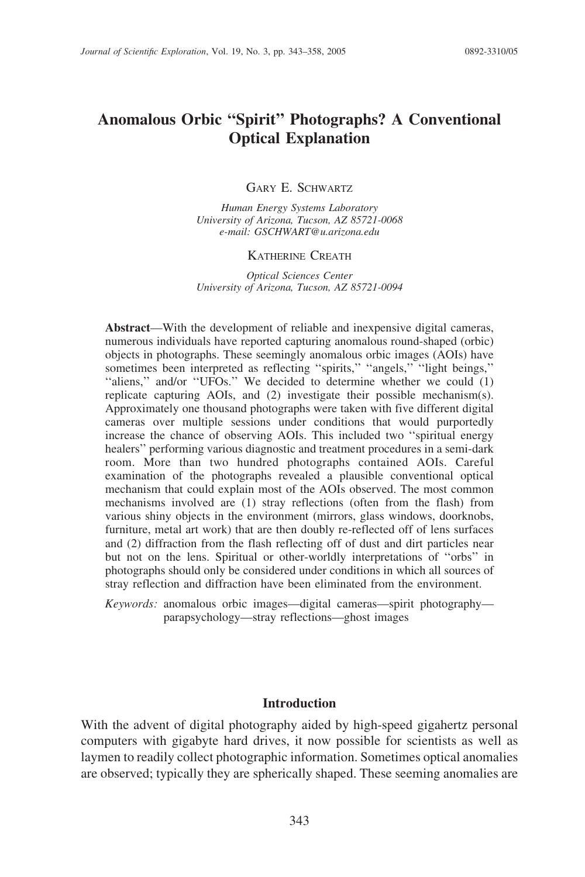# Anomalous Orbic ''Spirit'' Photographs? A Conventional Optical Explanation

GARY E. SCHWARTZ

Human Energy Systems Laboratory University of Arizona, Tucson, AZ 85721-0068 e-mail: GSCHWART@u.arizona.edu

# KATHERINE CREATH

Optical Sciences Center University of Arizona, Tucson, AZ 85721-0094

Abstract—With the development of reliable and inexpensive digital cameras, numerous individuals have reported capturing anomalous round-shaped (orbic) objects in photographs. These seemingly anomalous orbic images (AOIs) have sometimes been interpreted as reflecting "spirits," "angels," "light beings," "aliens," and/or "UFOs." We decided to determine whether we could (1) replicate capturing AOIs, and (2) investigate their possible mechanism(s). Approximately one thousand photographs were taken with five different digital cameras over multiple sessions under conditions that would purportedly increase the chance of observing AOIs. This included two ''spiritual energy healers'' performing various diagnostic and treatment procedures in a semi-dark room. More than two hundred photographs contained AOIs. Careful examination of the photographs revealed a plausible conventional optical mechanism that could explain most of the AOIs observed. The most common mechanisms involved are (1) stray reflections (often from the flash) from various shiny objects in the environment (mirrors, glass windows, doorknobs, furniture, metal art work) that are then doubly re-reflected off of lens surfaces and (2) diffraction from the flash reflecting off of dust and dirt particles near but not on the lens. Spiritual or other-worldly interpretations of ''orbs'' in photographs should only be considered under conditions in which all sources of stray reflection and diffraction have been eliminated from the environment.

Keywords: anomalous orbic images—digital cameras—spirit photography parapsychology—stray reflections—ghost images

# Introduction

With the advent of digital photography aided by high-speed gigahertz personal computers with gigabyte hard drives, it now possible for scientists as well as laymen to readily collect photographic information. Sometimes optical anomalies are observed; typically they are spherically shaped. These seeming anomalies are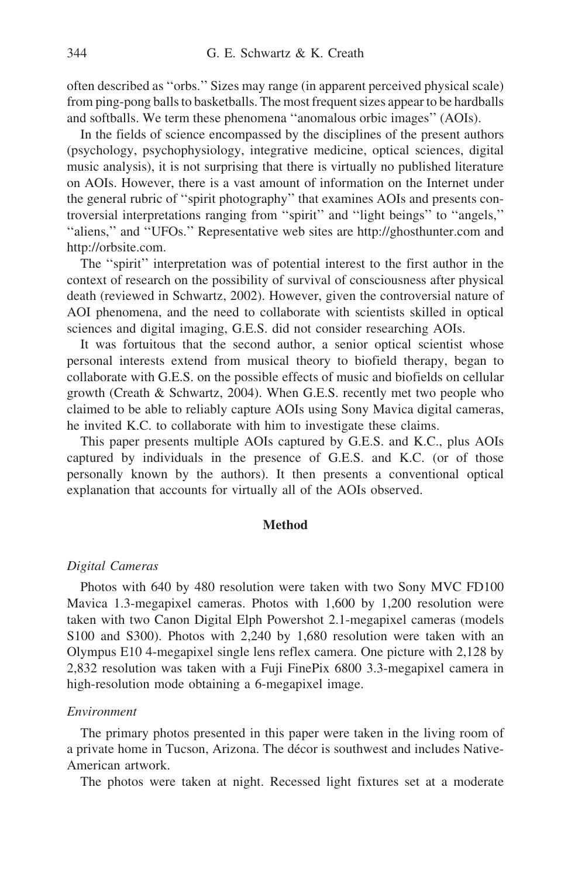often described as ''orbs.'' Sizes may range (in apparent perceived physical scale) from ping-pong balls to basketballs. The most frequent sizes appear to be hardballs and softballs. We term these phenomena ''anomalous orbic images'' (AOIs).

In the fields of science encompassed by the disciplines of the present authors (psychology, psychophysiology, integrative medicine, optical sciences, digital music analysis), it is not surprising that there is virtually no published literature on AOIs. However, there is a vast amount of information on the Internet under the general rubric of ''spirit photography'' that examines AOIs and presents controversial interpretations ranging from ''spirit'' and ''light beings'' to ''angels,'' "aliens," and "UFOs." Representative web sites are http://ghosthunter.com and http://orbsite.com.

The ''spirit'' interpretation was of potential interest to the first author in the context of research on the possibility of survival of consciousness after physical death (reviewed in Schwartz, 2002). However, given the controversial nature of AOI phenomena, and the need to collaborate with scientists skilled in optical sciences and digital imaging, G.E.S. did not consider researching AOIs.

It was fortuitous that the second author, a senior optical scientist whose personal interests extend from musical theory to biofield therapy, began to collaborate with G.E.S. on the possible effects of music and biofields on cellular growth (Creath & Schwartz, 2004). When G.E.S. recently met two people who claimed to be able to reliably capture AOIs using Sony Mavica digital cameras, he invited K.C. to collaborate with him to investigate these claims.

This paper presents multiple AOIs captured by G.E.S. and K.C., plus AOIs captured by individuals in the presence of G.E.S. and K.C. (or of those personally known by the authors). It then presents a conventional optical explanation that accounts for virtually all of the AOIs observed.

### Method

#### Digital Cameras

Photos with 640 by 480 resolution were taken with two Sony MVC FD100 Mavica 1.3-megapixel cameras. Photos with 1,600 by 1,200 resolution were taken with two Canon Digital Elph Powershot 2.1-megapixel cameras (models S100 and S300). Photos with 2,240 by 1,680 resolution were taken with an Olympus E10 4-megapixel single lens reflex camera. One picture with 2,128 by 2,832 resolution was taken with a Fuji FinePix 6800 3.3-megapixel camera in high-resolution mode obtaining a 6-megapixel image.

# Environment

The primary photos presented in this paper were taken in the living room of a private home in Tucson, Arizona. The décor is southwest and includes Native-American artwork.

The photos were taken at night. Recessed light fixtures set at a moderate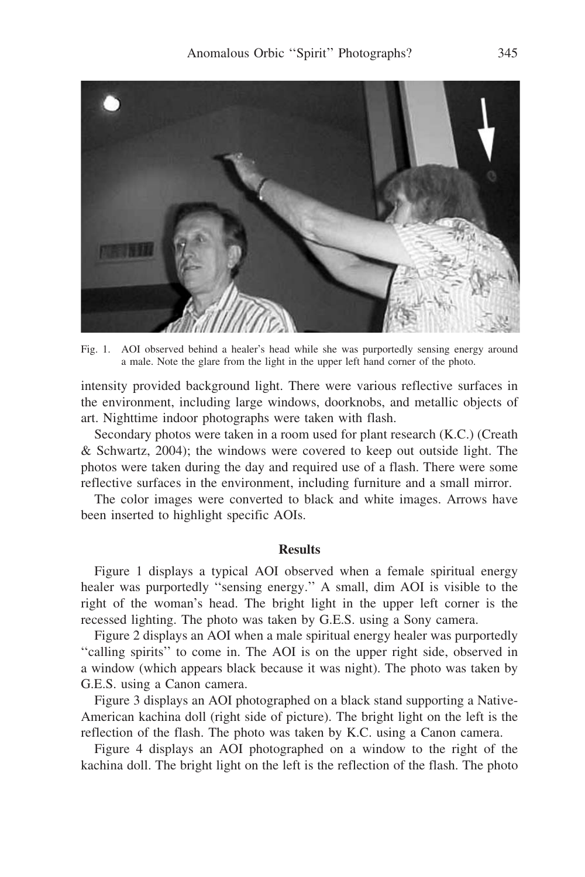

Fig. 1. AOI observed behind a healer's head while she was purportedly sensing energy around a male. Note the glare from the light in the upper left hand corner of the photo.

intensity provided background light. There were various reflective surfaces in the environment, including large windows, doorknobs, and metallic objects of art. Nighttime indoor photographs were taken with flash.

Secondary photos were taken in a room used for plant research (K.C.) (Creath & Schwartz, 2004); the windows were covered to keep out outside light. The photos were taken during the day and required use of a flash. There were some reflective surfaces in the environment, including furniture and a small mirror.

The color images were converted to black and white images. Arrows have been inserted to highlight specific AOIs.

### **Results**

Figure 1 displays a typical AOI observed when a female spiritual energy healer was purportedly ''sensing energy.'' A small, dim AOI is visible to the right of the woman's head. The bright light in the upper left corner is the recessed lighting. The photo was taken by G.E.S. using a Sony camera.

Figure 2 displays an AOI when a male spiritual energy healer was purportedly ''calling spirits'' to come in. The AOI is on the upper right side, observed in a window (which appears black because it was night). The photo was taken by G.E.S. using a Canon camera.

Figure 3 displays an AOI photographed on a black stand supporting a Native-American kachina doll (right side of picture). The bright light on the left is the reflection of the flash. The photo was taken by K.C. using a Canon camera.

Figure 4 displays an AOI photographed on a window to the right of the kachina doll. The bright light on the left is the reflection of the flash. The photo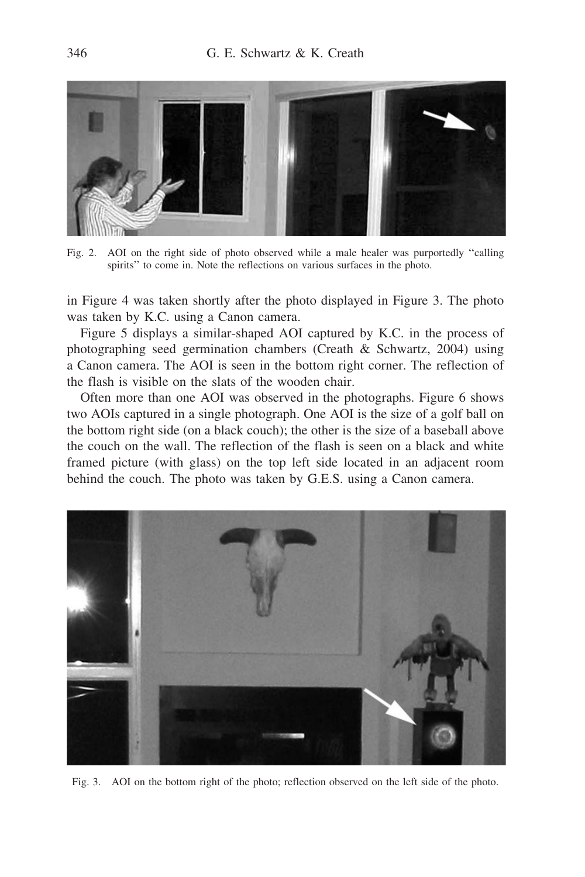

Fig. 2. AOI on the right side of photo observed while a male healer was purportedly ''calling spirits'' to come in. Note the reflections on various surfaces in the photo.

in Figure 4 was taken shortly after the photo displayed in Figure 3. The photo was taken by K.C. using a Canon camera.

Figure 5 displays a similar-shaped AOI captured by K.C. in the process of photographing seed germination chambers (Creath & Schwartz, 2004) using a Canon camera. The AOI is seen in the bottom right corner. The reflection of the flash is visible on the slats of the wooden chair.

Often more than one AOI was observed in the photographs. Figure 6 shows two AOIs captured in a single photograph. One AOI is the size of a golf ball on the bottom right side (on a black couch); the other is the size of a baseball above the couch on the wall. The reflection of the flash is seen on a black and white framed picture (with glass) on the top left side located in an adjacent room behind the couch. The photo was taken by G.E.S. using a Canon camera.



Fig. 3. AOI on the bottom right of the photo; reflection observed on the left side of the photo.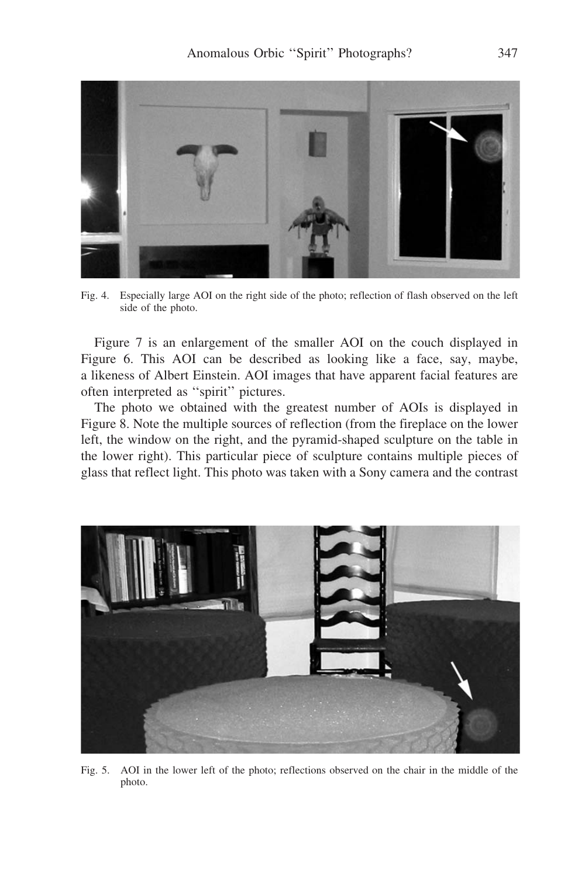

Fig. 4. Especially large AOI on the right side of the photo; reflection of flash observed on the left side of the photo.

Figure 7 is an enlargement of the smaller AOI on the couch displayed in Figure 6. This AOI can be described as looking like a face, say, maybe, a likeness of Albert Einstein. AOI images that have apparent facial features are often interpreted as ''spirit'' pictures.

The photo we obtained with the greatest number of AOIs is displayed in Figure 8. Note the multiple sources of reflection (from the fireplace on the lower left, the window on the right, and the pyramid-shaped sculpture on the table in the lower right). This particular piece of sculpture contains multiple pieces of glass that reflect light. This photo was taken with a Sony camera and the contrast



Fig. 5. AOI in the lower left of the photo; reflections observed on the chair in the middle of the photo.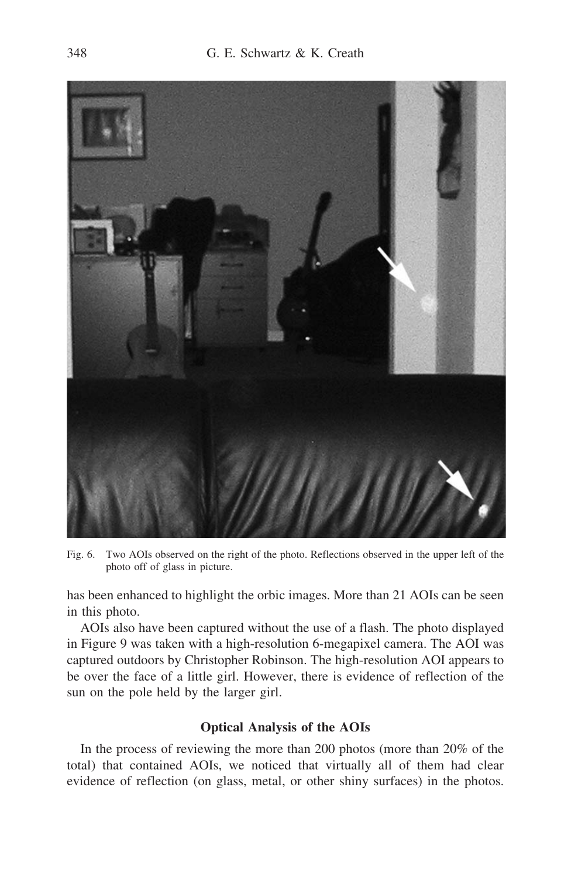

Fig. 6. Two AOIs observed on the right of the photo. Reflections observed in the upper left of the photo off of glass in picture.

has been enhanced to highlight the orbic images. More than 21 AOIs can be seen in this photo.

AOIs also have been captured without the use of a flash. The photo displayed in Figure 9 was taken with a high-resolution 6-megapixel camera. The AOI was captured outdoors by Christopher Robinson. The high-resolution AOI appears to be over the face of a little girl. However, there is evidence of reflection of the sun on the pole held by the larger girl.

# Optical Analysis of the AOIs

In the process of reviewing the more than 200 photos (more than 20% of the total) that contained AOIs, we noticed that virtually all of them had clear evidence of reflection (on glass, metal, or other shiny surfaces) in the photos.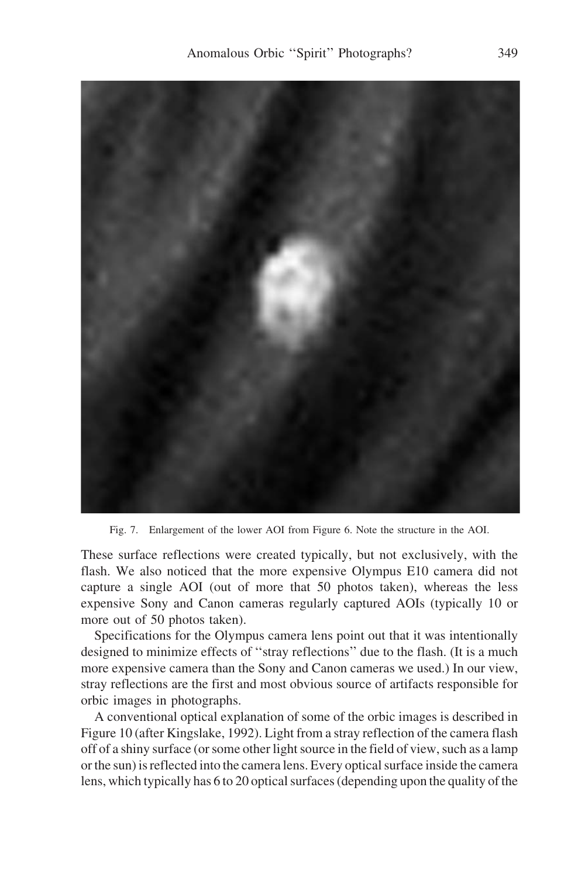

Fig. 7. Enlargement of the lower AOI from Figure 6. Note the structure in the AOI.

These surface reflections were created typically, but not exclusively, with the flash. We also noticed that the more expensive Olympus E10 camera did not capture a single AOI (out of more that 50 photos taken), whereas the less expensive Sony and Canon cameras regularly captured AOIs (typically 10 or more out of 50 photos taken).

Specifications for the Olympus camera lens point out that it was intentionally designed to minimize effects of ''stray reflections'' due to the flash. (It is a much more expensive camera than the Sony and Canon cameras we used.) In our view, stray reflections are the first and most obvious source of artifacts responsible for orbic images in photographs.

A conventional optical explanation of some of the orbic images is described in Figure 10 (after Kingslake, 1992). Light from a stray reflection of the camera flash off of a shiny surface (or some other light source in the field of view, such as a lamp or the sun) is reflected into the camera lens. Every optical surface inside the camera lens, which typically has 6 to 20 optical surfaces (depending upon the quality of the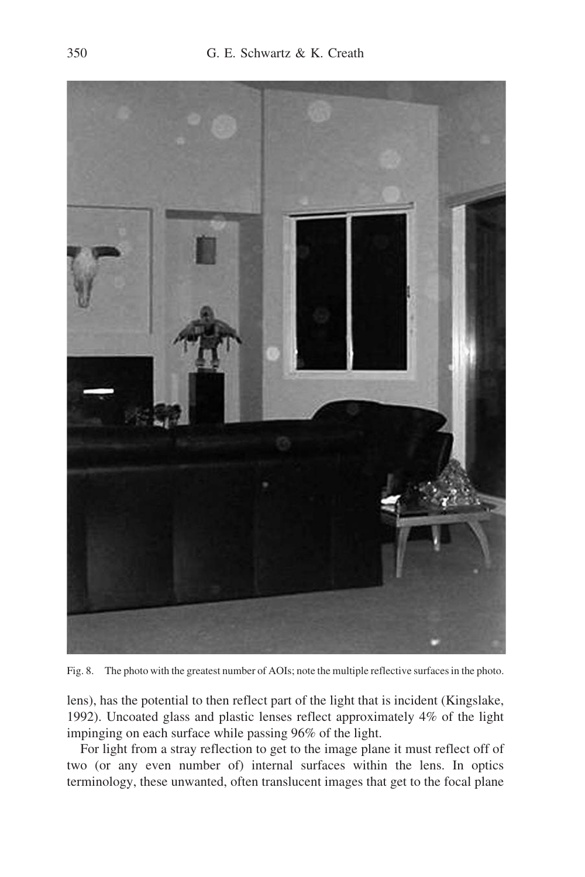

Fig. 8. The photo with the greatest number of AOIs; note the multiple reflective surfaces in the photo.

lens), has the potential to then reflect part of the light that is incident (Kingslake, 1992). Uncoated glass and plastic lenses reflect approximately 4% of the light impinging on each surface while passing 96% of the light.

For light from a stray reflection to get to the image plane it must reflect off of two (or any even number of) internal surfaces within the lens. In optics terminology, these unwanted, often translucent images that get to the focal plane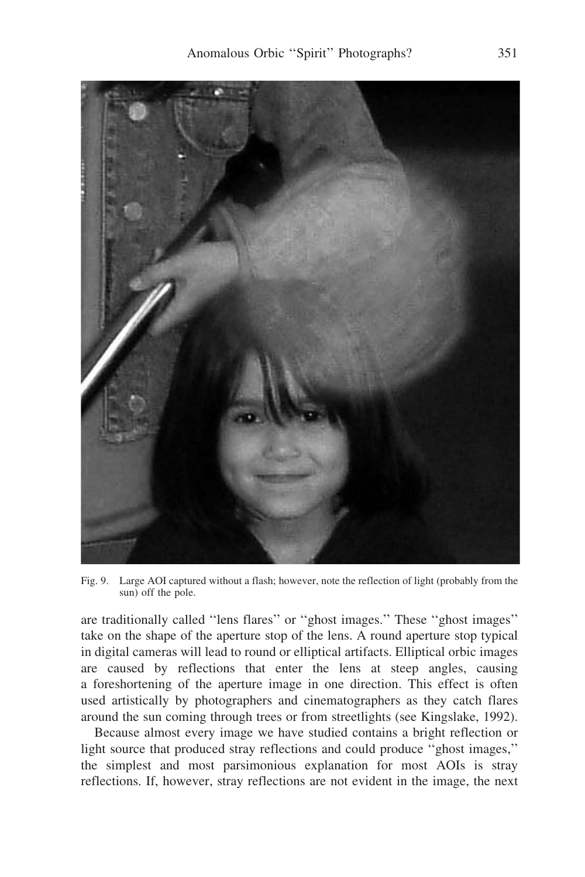

Fig. 9. Large AOI captured without a flash; however, note the reflection of light (probably from the sun) off the pole.

are traditionally called ''lens flares'' or ''ghost images.'' These ''ghost images'' take on the shape of the aperture stop of the lens. A round aperture stop typical in digital cameras will lead to round or elliptical artifacts. Elliptical orbic images are caused by reflections that enter the lens at steep angles, causing a foreshortening of the aperture image in one direction. This effect is often used artistically by photographers and cinematographers as they catch flares around the sun coming through trees or from streetlights (see Kingslake, 1992).

Because almost every image we have studied contains a bright reflection or light source that produced stray reflections and could produce ''ghost images,'' the simplest and most parsimonious explanation for most AOIs is stray reflections. If, however, stray reflections are not evident in the image, the next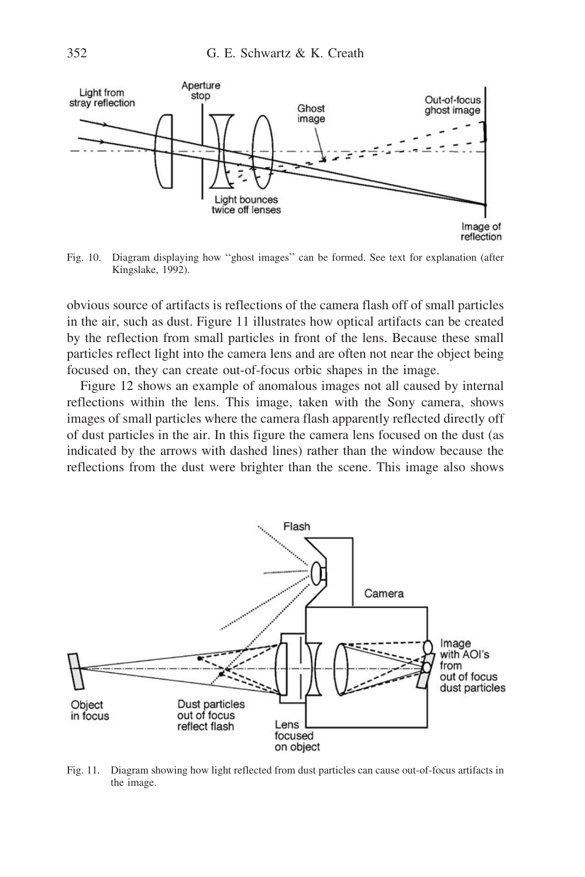

Fig. 10. Diagram displaying how ''ghost images'' can be formed. See text for explanation (after Kingslake, 1992).

obvious source of artifacts is reflections of the camera flash off of small particles in the air, such as dust. Figure 11 illustrates how optical artifacts can be created by the reflection from small particles in front of the lens. Because these small particles reflect light into the camera lens and are often not near the object being focused on, they can create out-of-focus orbic shapes in the image.

Figure 12 shows an example of anomalous images not all caused by internal reflections within the lens. This image, taken with the Sony camera, shows images of small particles where the camera flash apparently reflected directly off of dust particles in the air. In this figure the camera lens focused on the dust (as indicated by the arrows with dashed lines) rather than the window because the reflections from the dust were brighter than the scene. This image also shows



Fig. 11. Diagram showing how light reflected from dust particles can cause out-of-focus artifacts in the image.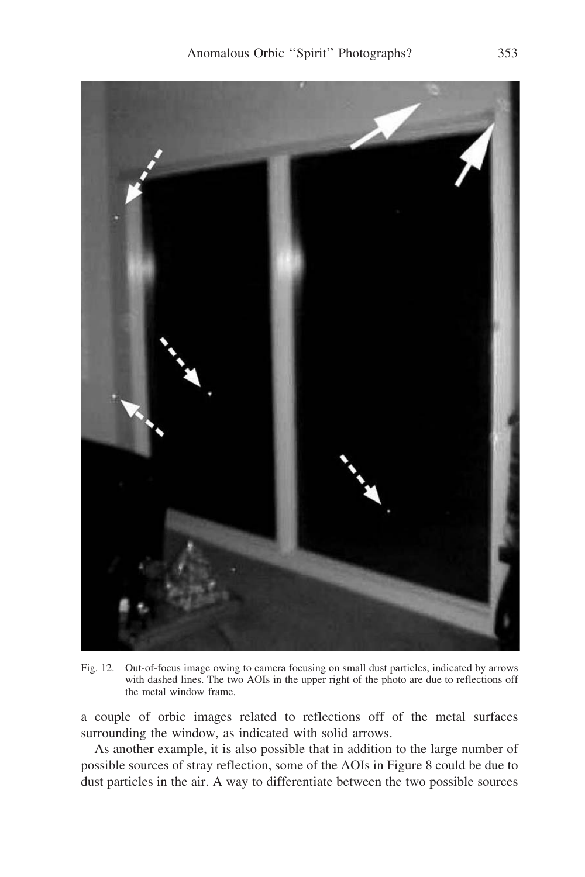

Fig. 12. Out-of-focus image owing to camera focusing on small dust particles, indicated by arrows with dashed lines. The two AOIs in the upper right of the photo are due to reflections off the metal window frame.

a couple of orbic images related to reflections off of the metal surfaces surrounding the window, as indicated with solid arrows.

As another example, it is also possible that in addition to the large number of possible sources of stray reflection, some of the AOIs in Figure 8 could be due to dust particles in the air. A way to differentiate between the two possible sources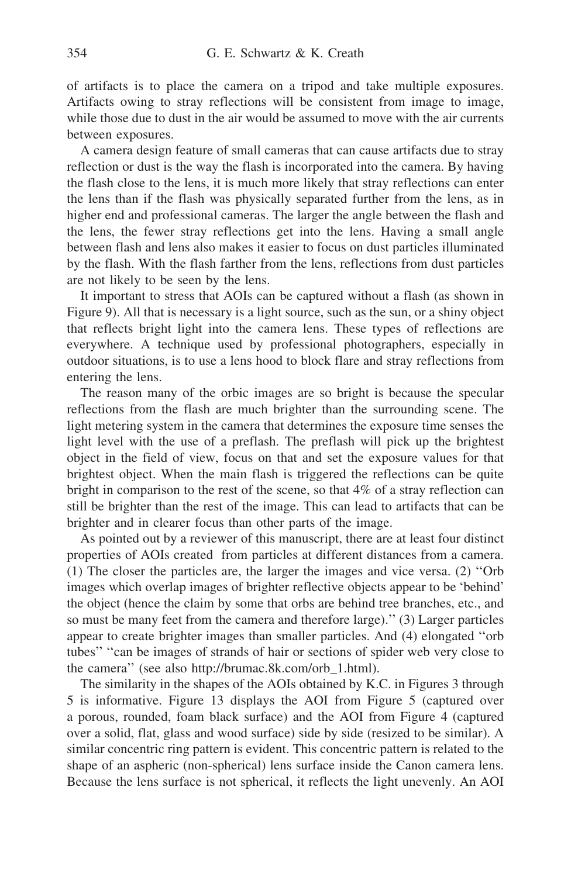of artifacts is to place the camera on a tripod and take multiple exposures. Artifacts owing to stray reflections will be consistent from image to image, while those due to dust in the air would be assumed to move with the air currents between exposures.

A camera design feature of small cameras that can cause artifacts due to stray reflection or dust is the way the flash is incorporated into the camera. By having the flash close to the lens, it is much more likely that stray reflections can enter the lens than if the flash was physically separated further from the lens, as in higher end and professional cameras. The larger the angle between the flash and the lens, the fewer stray reflections get into the lens. Having a small angle between flash and lens also makes it easier to focus on dust particles illuminated by the flash. With the flash farther from the lens, reflections from dust particles are not likely to be seen by the lens.

It important to stress that AOIs can be captured without a flash (as shown in Figure 9). All that is necessary is a light source, such as the sun, or a shiny object that reflects bright light into the camera lens. These types of reflections are everywhere. A technique used by professional photographers, especially in outdoor situations, is to use a lens hood to block flare and stray reflections from entering the lens.

The reason many of the orbic images are so bright is because the specular reflections from the flash are much brighter than the surrounding scene. The light metering system in the camera that determines the exposure time senses the light level with the use of a preflash. The preflash will pick up the brightest object in the field of view, focus on that and set the exposure values for that brightest object. When the main flash is triggered the reflections can be quite bright in comparison to the rest of the scene, so that 4% of a stray reflection can still be brighter than the rest of the image. This can lead to artifacts that can be brighter and in clearer focus than other parts of the image.

As pointed out by a reviewer of this manuscript, there are at least four distinct properties of AOIs created from particles at different distances from a camera. (1) The closer the particles are, the larger the images and vice versa. (2) ''Orb images which overlap images of brighter reflective objects appear to be 'behind' the object (hence the claim by some that orbs are behind tree branches, etc., and so must be many feet from the camera and therefore large).'' (3) Larger particles appear to create brighter images than smaller particles. And (4) elongated ''orb tubes'' ''can be images of strands of hair or sections of spider web very close to the camera'' (see also http://brumac.8k.com/orb\_1.html).

The similarity in the shapes of the AOIs obtained by K.C. in Figures 3 through 5 is informative. Figure 13 displays the AOI from Figure 5 (captured over a porous, rounded, foam black surface) and the AOI from Figure 4 (captured over a solid, flat, glass and wood surface) side by side (resized to be similar). A similar concentric ring pattern is evident. This concentric pattern is related to the shape of an aspheric (non-spherical) lens surface inside the Canon camera lens. Because the lens surface is not spherical, it reflects the light unevenly. An AOI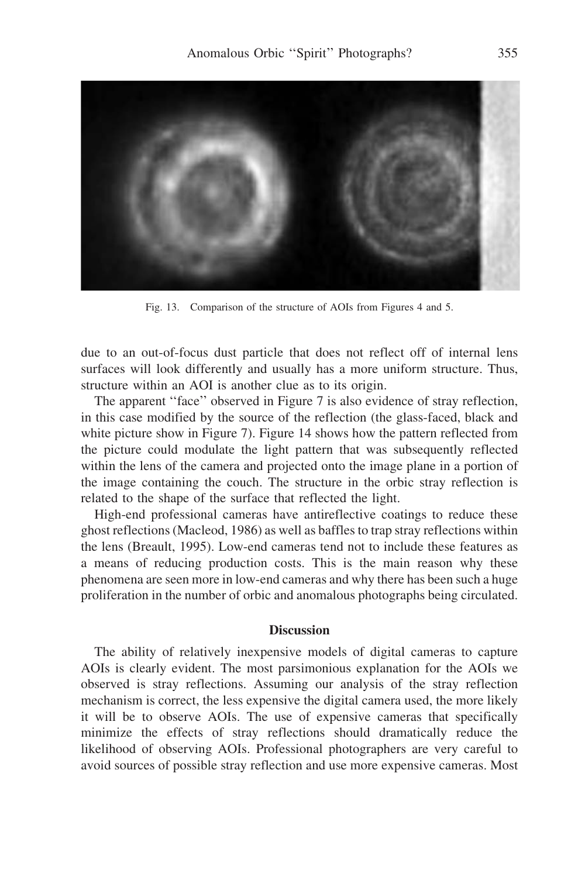

Fig. 13. Comparison of the structure of AOIs from Figures 4 and 5.

due to an out-of-focus dust particle that does not reflect off of internal lens surfaces will look differently and usually has a more uniform structure. Thus, structure within an AOI is another clue as to its origin.

The apparent "face" observed in Figure 7 is also evidence of stray reflection, in this case modified by the source of the reflection (the glass-faced, black and white picture show in Figure 7). Figure 14 shows how the pattern reflected from the picture could modulate the light pattern that was subsequently reflected within the lens of the camera and projected onto the image plane in a portion of the image containing the couch. The structure in the orbic stray reflection is related to the shape of the surface that reflected the light.

High-end professional cameras have antireflective coatings to reduce these ghost reflections (Macleod, 1986) as well as baffles to trap stray reflections within the lens (Breault, 1995). Low-end cameras tend not to include these features as a means of reducing production costs. This is the main reason why these phenomena are seen more in low-end cameras and why there has been such a huge proliferation in the number of orbic and anomalous photographs being circulated.

# **Discussion**

The ability of relatively inexpensive models of digital cameras to capture AOIs is clearly evident. The most parsimonious explanation for the AOIs we observed is stray reflections. Assuming our analysis of the stray reflection mechanism is correct, the less expensive the digital camera used, the more likely it will be to observe AOIs. The use of expensive cameras that specifically minimize the effects of stray reflections should dramatically reduce the likelihood of observing AOIs. Professional photographers are very careful to avoid sources of possible stray reflection and use more expensive cameras. Most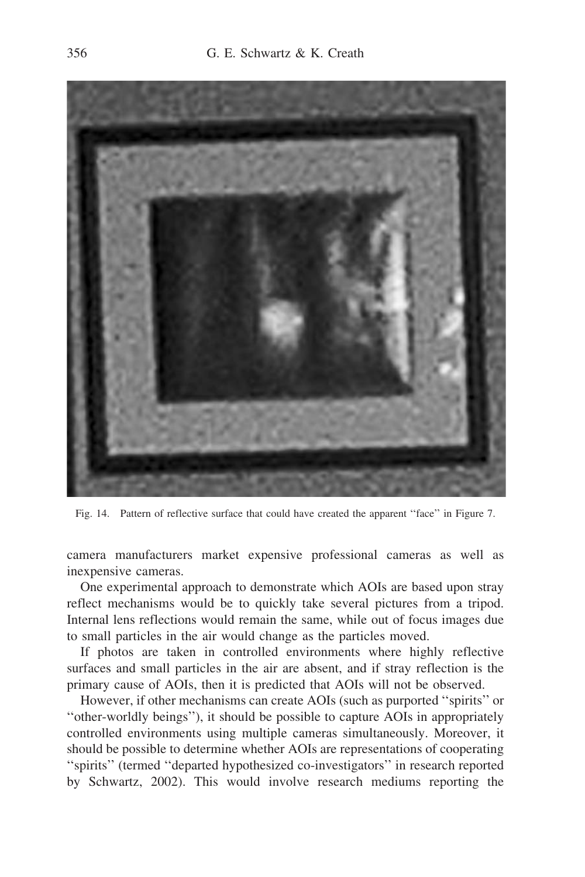

Fig. 14. Pattern of reflective surface that could have created the apparent ''face'' in Figure 7.

camera manufacturers market expensive professional cameras as well as inexpensive cameras.

One experimental approach to demonstrate which AOIs are based upon stray reflect mechanisms would be to quickly take several pictures from a tripod. Internal lens reflections would remain the same, while out of focus images due to small particles in the air would change as the particles moved.

If photos are taken in controlled environments where highly reflective surfaces and small particles in the air are absent, and if stray reflection is the primary cause of AOIs, then it is predicted that AOIs will not be observed.

However, if other mechanisms can create AOIs (such as purported ''spirits'' or ''other-worldly beings''), it should be possible to capture AOIs in appropriately controlled environments using multiple cameras simultaneously. Moreover, it should be possible to determine whether AOIs are representations of cooperating ''spirits'' (termed ''departed hypothesized co-investigators'' in research reported by Schwartz, 2002). This would involve research mediums reporting the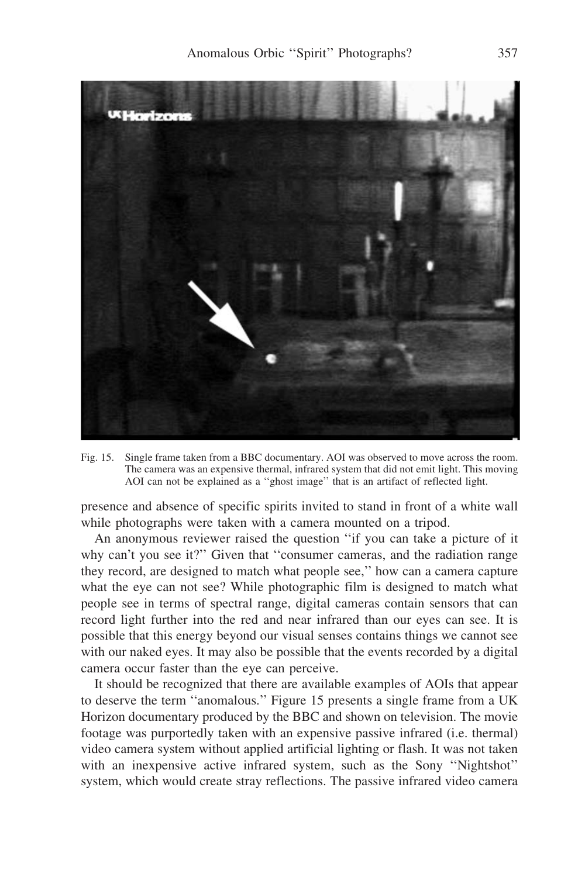

Fig. 15. Single frame taken from a BBC documentary. AOI was observed to move across the room. The camera was an expensive thermal, infrared system that did not emit light. This moving AOI can not be explained as a ''ghost image'' that is an artifact of reflected light.

presence and absence of specific spirits invited to stand in front of a white wall while photographs were taken with a camera mounted on a tripod.

An anonymous reviewer raised the question ''if you can take a picture of it why can't you see it?" Given that "consumer cameras, and the radiation range they record, are designed to match what people see,'' how can a camera capture what the eye can not see? While photographic film is designed to match what people see in terms of spectral range, digital cameras contain sensors that can record light further into the red and near infrared than our eyes can see. It is possible that this energy beyond our visual senses contains things we cannot see with our naked eyes. It may also be possible that the events recorded by a digital camera occur faster than the eye can perceive.

It should be recognized that there are available examples of AOIs that appear to deserve the term ''anomalous.'' Figure 15 presents a single frame from a UK Horizon documentary produced by the BBC and shown on television. The movie footage was purportedly taken with an expensive passive infrared (i.e. thermal) video camera system without applied artificial lighting or flash. It was not taken with an inexpensive active infrared system, such as the Sony ''Nightshot'' system, which would create stray reflections. The passive infrared video camera